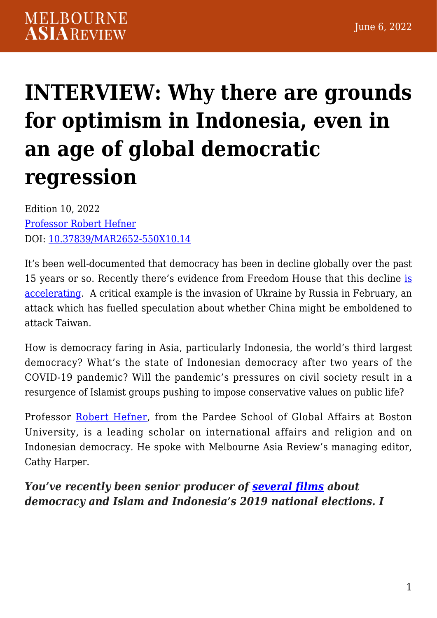# **[INTERVIEW: Why there are grounds](https://melbourneasiareview.edu.au/interview-why-there-are-grounds-for-optimism-in-indonesia-even-in-an-age-of-global-democratic-regression/) [for optimism in Indonesia, even in](https://melbourneasiareview.edu.au/interview-why-there-are-grounds-for-optimism-in-indonesia-even-in-an-age-of-global-democratic-regression/) [an age of global democratic](https://melbourneasiareview.edu.au/interview-why-there-are-grounds-for-optimism-in-indonesia-even-in-an-age-of-global-democratic-regression/) [regression](https://melbourneasiareview.edu.au/interview-why-there-are-grounds-for-optimism-in-indonesia-even-in-an-age-of-global-democratic-regression/)**

Edition 10, 2022 [Professor Robert Hefner](https://www.bu.edu/pardeeschool/profile/robert-hefner/) DOI: 10.37839/MAR2652-550X10.14

It's been well-documented that democracy has been in decline globally over the past 15 years or so. Recently there's evidence from Freedom House that this decline [is](https://freedomhouse.org/report/freedom-world/2022/global-expansion-authoritarian-rule) [accelerating.](https://freedomhouse.org/report/freedom-world/2022/global-expansion-authoritarian-rule) A critical example is the invasion of Ukraine by Russia in February, an attack which has fuelled speculation about whether China might be emboldened to attack Taiwan.

How is democracy faring in Asia, particularly Indonesia, the world's third largest democracy? What's the state of Indonesian democracy after two years of the COVID-19 pandemic? Will the pandemic's pressures on civil society result in a resurgence of Islamist groups pushing to impose conservative values on public life?

Professor [Robert Hefner,](https://www.bu.edu/pardeeschool/profile/robert-hefner/) from the Pardee School of Global Affairs at Boston University, is a leading scholar on international affairs and religion and on Indonesian democracy. He spoke with Melbourne Asia Review's managing editor, Cathy Harper.

### *You've recently been senior producer of [several films](https://indonesianpluralities.org/about/) about democracy and Islam and Indonesia's 2019 national elections. I*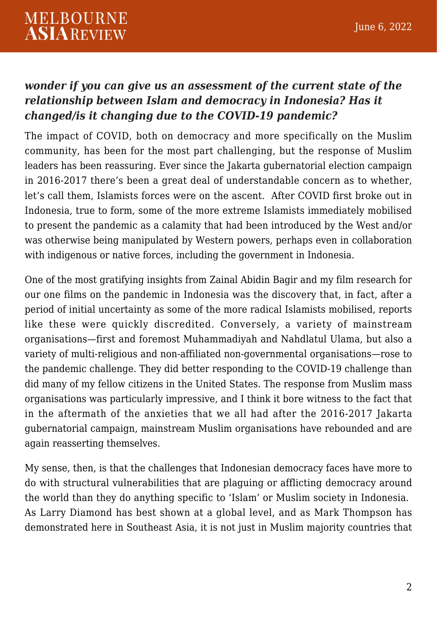#### *wonder if you can give us an assessment of the current state of the relationship between Islam and democracy in Indonesia? Has it changed/is it changing due to the COVID-19 pandemic?*

The impact of COVID, both on democracy and more specifically on the Muslim community, has been for the most part challenging, but the response of Muslim leaders has been reassuring. Ever since the Jakarta gubernatorial election campaign in 2016-2017 there's been a great deal of understandable concern as to whether, let's call them, Islamists forces were on the ascent. After COVID first broke out in Indonesia, true to form, some of the more extreme Islamists immediately mobilised to present the pandemic as a calamity that had been introduced by the West and/or was otherwise being manipulated by Western powers, perhaps even in collaboration with indigenous or native forces, including the government in Indonesia.

One of the most gratifying insights from Zainal Abidin Bagir and my film research for our one films on the pandemic in Indonesia was the discovery that, in fact, after a period of initial uncertainty as some of the more radical Islamists mobilised, reports like these were quickly discredited. Conversely, a variety of mainstream organisations—first and foremost Muhammadiyah and Nahdlatul Ulama, but also a variety of multi-religious and non-affiliated non-governmental organisations—rose to the pandemic challenge. They did better responding to the COVID-19 challenge than did many of my fellow citizens in the United States. The response from Muslim mass organisations was particularly impressive, and I think it bore witness to the fact that in the aftermath of the anxieties that we all had after the 2016-2017 Jakarta gubernatorial campaign, mainstream Muslim organisations have rebounded and are again reasserting themselves.

My sense, then, is that the challenges that Indonesian democracy faces have more to do with structural vulnerabilities that are plaguing or afflicting democracy around the world than they do anything specific to 'Islam' or Muslim society in Indonesia. As Larry Diamond has best shown at a global level, and as Mark Thompson has demonstrated here in Southeast Asia, it is not just in Muslim majority countries that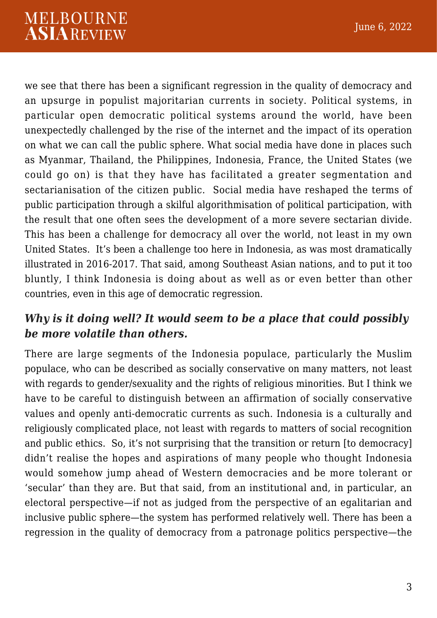we see that there has been a significant regression in the quality of democracy and an upsurge in populist majoritarian currents in society. Political systems, in particular open democratic political systems around the world, have been unexpectedly challenged by the rise of the internet and the impact of its operation on what we can call the public sphere. What social media have done in places such as Myanmar, Thailand, the Philippines, Indonesia, France, the United States (we could go on) is that they have has facilitated a greater segmentation and sectarianisation of the citizen public. Social media have reshaped the terms of public participation through a skilful algorithmisation of political participation, with the result that one often sees the development of a more severe sectarian divide. This has been a challenge for democracy all over the world, not least in my own United States. It's been a challenge too here in Indonesia, as was most dramatically illustrated in 2016-2017. That said, among Southeast Asian nations, and to put it too bluntly, I think Indonesia is doing about as well as or even better than other countries, even in this age of democratic regression.

### *Why is it doing well? It would seem to be a place that could possibly be more volatile than others.*

There are large segments of the Indonesia populace, particularly the Muslim populace, who can be described as socially conservative on many matters, not least with regards to gender/sexuality and the rights of religious minorities. But I think we have to be careful to distinguish between an affirmation of socially conservative values and openly anti-democratic currents as such. Indonesia is a culturally and religiously complicated place, not least with regards to matters of social recognition and public ethics. So, it's not surprising that the transition or return [to democracy] didn't realise the hopes and aspirations of many people who thought Indonesia would somehow jump ahead of Western democracies and be more tolerant or 'secular' than they are. But that said, from an institutional and, in particular, an electoral perspective—if not as judged from the perspective of an egalitarian and inclusive public sphere—the system has performed relatively well. There has been a regression in the quality of democracy from a patronage politics perspective—the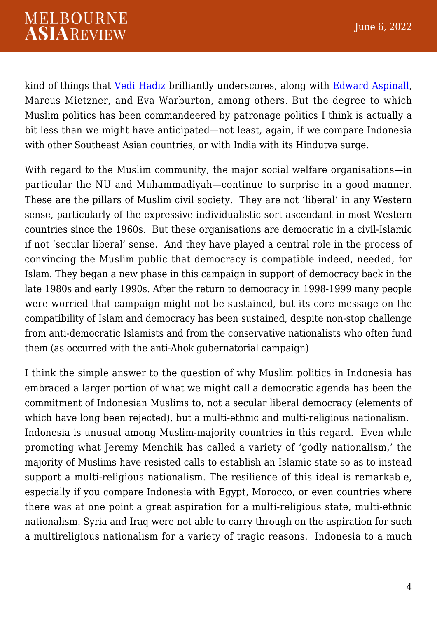kind of things that [Vedi Hadiz](https://www.jstor.org/stable/10.5728/indonesia.96.0033) brilliantly underscores, along with [Edward Aspinall,](https://www.jstor.org/stable/j.ctv1xxzz2) Marcus Mietzner, and Eva Warburton, among others. But the degree to which Muslim politics has been commandeered by patronage politics I think is actually a bit less than we might have anticipated—not least, again, if we compare Indonesia with other Southeast Asian countries, or with India with its Hindutva surge.

With regard to the Muslim community, the major social welfare organisations—in particular the NU and Muhammadiyah—continue to surprise in a good manner. These are the pillars of Muslim civil society. They are not 'liberal' in any Western sense, particularly of the expressive individualistic sort ascendant in most Western countries since the 1960s. But these organisations are democratic in a civil-Islamic if not 'secular liberal' sense. And they have played a central role in the process of convincing the Muslim public that democracy is compatible indeed, needed, for Islam. They began a new phase in this campaign in support of democracy back in the late 1980s and early 1990s. After the return to democracy in 1998-1999 many people were worried that campaign might not be sustained, but its core message on the compatibility of Islam and democracy has been sustained, despite non-stop challenge from anti-democratic Islamists and from the conservative nationalists who often fund them (as occurred with the anti-Ahok gubernatorial campaign)

I think the simple answer to the question of why Muslim politics in Indonesia has embraced a larger portion of what we might call a democratic agenda has been the commitment of Indonesian Muslims to, not a secular liberal democracy (elements of which have long been rejected), but a multi-ethnic and multi-religious nationalism. Indonesia is unusual among Muslim-majority countries in this regard. Even while promoting what Jeremy Menchik has called a variety of 'godly nationalism,' the majority of Muslims have resisted calls to establish an Islamic state so as to instead support a multi-religious nationalism. The resilience of this ideal is remarkable, especially if you compare Indonesia with Egypt, Morocco, or even countries where there was at one point a great aspiration for a multi-religious state, multi-ethnic nationalism. Syria and Iraq were not able to carry through on the aspiration for such a multireligious nationalism for a variety of tragic reasons. Indonesia to a much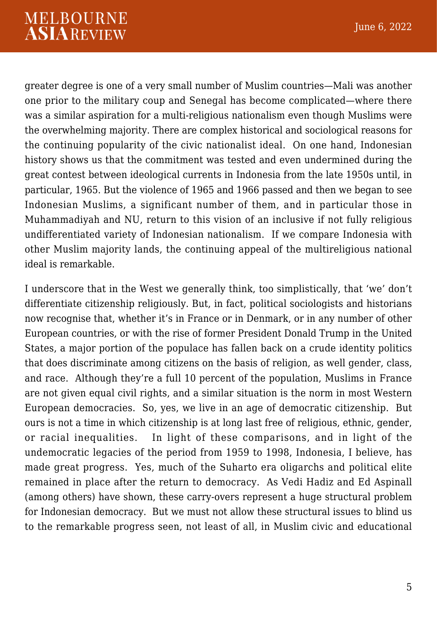greater degree is one of a very small number of Muslim countries—Mali was another one prior to the military coup and Senegal has become complicated—where there was a similar aspiration for a multi-religious nationalism even though Muslims were the overwhelming majority. There are complex historical and sociological reasons for the continuing popularity of the civic nationalist ideal. On one hand, Indonesian history shows us that the commitment was tested and even undermined during the great contest between ideological currents in Indonesia from the late 1950s until, in particular, 1965. But the violence of 1965 and 1966 passed and then we began to see Indonesian Muslims, a significant number of them, and in particular those in Muhammadiyah and NU, return to this vision of an inclusive if not fully religious undifferentiated variety of Indonesian nationalism. If we compare Indonesia with other Muslim majority lands, the continuing appeal of the multireligious national ideal is remarkable.

I underscore that in the West we generally think, too simplistically, that 'we' don't differentiate citizenship religiously. But, in fact, political sociologists and historians now recognise that, whether it's in France or in Denmark, or in any number of other European countries, or with the rise of former President Donald Trump in the United States, a major portion of the populace has fallen back on a crude identity politics that does discriminate among citizens on the basis of religion, as well gender, class, and race. Although they're a full 10 percent of the population, Muslims in France are not given equal civil rights, and a similar situation is the norm in most Western European democracies. So, yes, we live in an age of democratic citizenship. But ours is not a time in which citizenship is at long last free of religious, ethnic, gender, or racial inequalities. In light of these comparisons, and in light of the undemocratic legacies of the period from 1959 to 1998, Indonesia, I believe, has made great progress. Yes, much of the Suharto era oligarchs and political elite remained in place after the return to democracy. As Vedi Hadiz and Ed Aspinall (among others) have shown, these carry-overs represent a huge structural problem for Indonesian democracy. But we must not allow these structural issues to blind us to the remarkable progress seen, not least of all, in Muslim civic and educational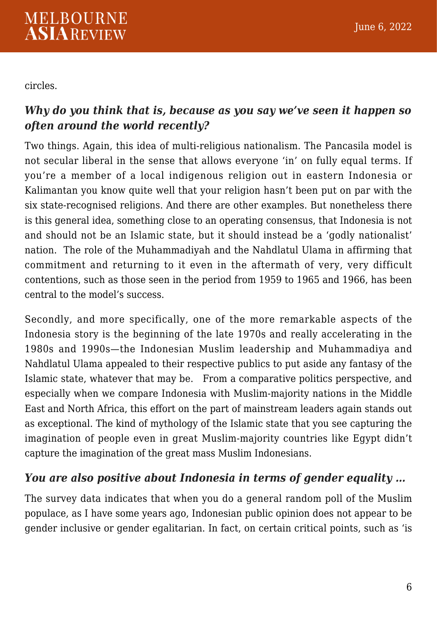circles.

# *Why do you think that is, because as you say we've seen it happen so often around the world recently?*

Two things. Again, this idea of multi-religious nationalism. The Pancasila model is not secular liberal in the sense that allows everyone 'in' on fully equal terms. If you're a member of a local indigenous religion out in eastern Indonesia or Kalimantan you know quite well that your religion hasn't been put on par with the six state-recognised religions. And there are other examples. But nonetheless there is this general idea, something close to an operating consensus, that Indonesia is not and should not be an Islamic state, but it should instead be a 'godly nationalist' nation. The role of the Muhammadiyah and the Nahdlatul Ulama in affirming that commitment and returning to it even in the aftermath of very, very difficult contentions, such as those seen in the period from 1959 to 1965 and 1966, has been central to the model's success.

Secondly, and more specifically, one of the more remarkable aspects of the Indonesia story is the beginning of the late 1970s and really accelerating in the 1980s and 1990s—the Indonesian Muslim leadership and Muhammadiya and Nahdlatul Ulama appealed to their respective publics to put aside any fantasy of the Islamic state, whatever that may be. From a comparative politics perspective, and especially when we compare Indonesia with Muslim-majority nations in the Middle East and North Africa, this effort on the part of mainstream leaders again stands out as exceptional. The kind of mythology of the Islamic state that you see capturing the imagination of people even in great Muslim-majority countries like Egypt didn't capture the imagination of the great mass Muslim Indonesians.

# *You are also positive about Indonesia in terms of gender equality …*

The survey data indicates that when you do a general random poll of the Muslim populace, as I have some years ago, Indonesian public opinion does not appear to be gender inclusive or gender egalitarian. In fact, on certain critical points, such as 'is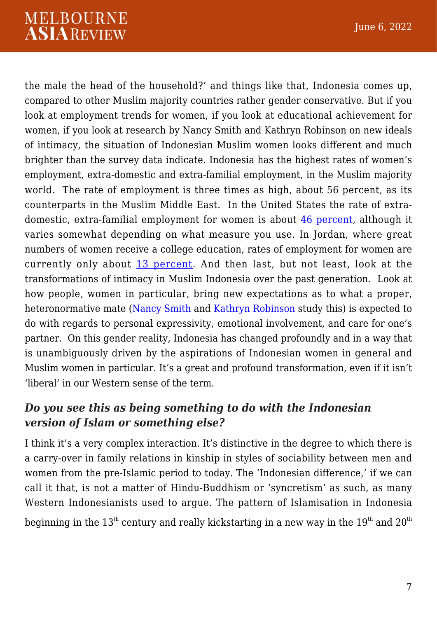# **MELBOURNE ASIAREVIEW**

the male the head of the household?' and things like that, Indonesia comes up, compared to other Muslim majority countries rather gender conservative. But if you look at employment trends for women, if you look at educational achievement for women, if you look at research by Nancy Smith and Kathryn Robinson on new ideals of intimacy, the situation of Indonesian Muslim women looks different and much brighter than the survey data indicate. Indonesia has the highest rates of women's employment, extra-domestic and extra-familial employment, in the Muslim majority world. The rate of employment is three times as high, about 56 percent, as its counterparts in the Muslim Middle East. In the United States the rate of extradomestic, extra-familial employment for women is about [46 percent,](https://data.worldbank.org/indicator/SL.TLF.TOTL.FE.ZS?locations=US) although it varies somewhat depending on what measure you use. In Jordan, where great numbers of women receive a college education, rates of employment for women are currently only about [13 percent.](https://data.worldbank.org/indicator/SL.TLF.CACT.FE.ZS?locations=JO) And then last, but not least, look at the transformations of intimacy in Muslim Indonesia over the past generation. Look at how people, women in particular, bring new expectations as to what a proper, heteronormative mate [\(Nancy Smith](https://journals.openedition.org/archipel/2266?lang=en) and [Kathryn Robinson](http://intersections.anu.edu.au/issue43/robinson-bowen_intro.html) study this) is expected to do with regards to personal expressivity, emotional involvement, and care for one's partner. On this gender reality, Indonesia has changed profoundly and in a way that is unambiguously driven by the aspirations of Indonesian women in general and Muslim women in particular. It's a great and profound transformation, even if it isn't 'liberal' in our Western sense of the term.

# *Do you see this as being something to do with the Indonesian version of Islam or something else?*

I think it's a very complex interaction. It's distinctive in the degree to which there is a carry-over in family relations in kinship in styles of sociability between men and women from the pre-Islamic period to today. The 'Indonesian difference,' if we can call it that, is not a matter of Hindu-Buddhism or 'syncretism' as such, as many Western Indonesianists used to argue. The pattern of Islamisation in Indonesia beginning in the  $13<sup>th</sup>$  century and really kickstarting in a new way in the  $19<sup>th</sup>$  and  $20<sup>th</sup>$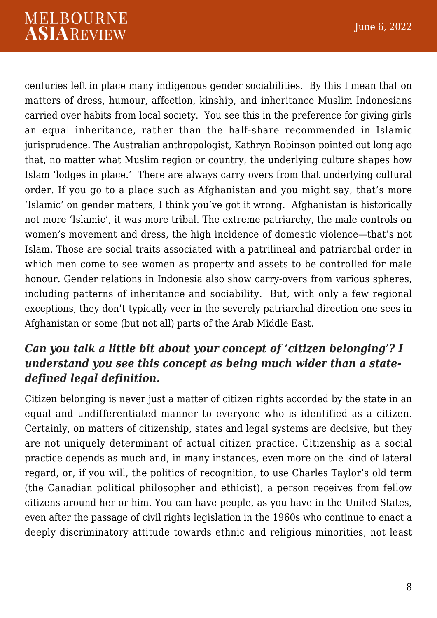centuries left in place many indigenous gender sociabilities. By this I mean that on matters of dress, humour, affection, kinship, and inheritance Muslim Indonesians carried over habits from local society. You see this in the preference for giving girls an equal inheritance, rather than the half-share recommended in Islamic jurisprudence. The Australian anthropologist, Kathryn Robinson pointed out long ago that, no matter what Muslim region or country, the underlying culture shapes how Islam 'lodges in place.' There are always carry overs from that underlying cultural order. If you go to a place such as Afghanistan and you might say, that's more 'Islamic' on gender matters, I think you've got it wrong. Afghanistan is historically not more 'Islamic', it was more tribal. The extreme patriarchy, the male controls on women's movement and dress, the high incidence of domestic violence—that's not Islam. Those are social traits associated with a patrilineal and patriarchal order in which men come to see women as property and assets to be controlled for male honour. Gender relations in Indonesia also show carry-overs from various spheres, including patterns of inheritance and sociability. But, with only a few regional exceptions, they don't typically veer in the severely patriarchal direction one sees in Afghanistan or some (but not all) parts of the Arab Middle East.

# *Can you talk a little bit about your concept of 'citizen belonging'? I understand you see this concept as being much wider than a statedefined legal definition.*

Citizen belonging is never just a matter of citizen rights accorded by the state in an equal and undifferentiated manner to everyone who is identified as a citizen. Certainly, on matters of citizenship, states and legal systems are decisive, but they are not uniquely determinant of actual citizen practice. Citizenship as a social practice depends as much and, in many instances, even more on the kind of lateral regard, or, if you will, the politics of recognition, to use Charles Taylor's old term (the Canadian political philosopher and ethicist), a person receives from fellow citizens around her or him. You can have people, as you have in the United States, even after the passage of civil rights legislation in the 1960s who continue to enact a deeply discriminatory attitude towards ethnic and religious minorities, not least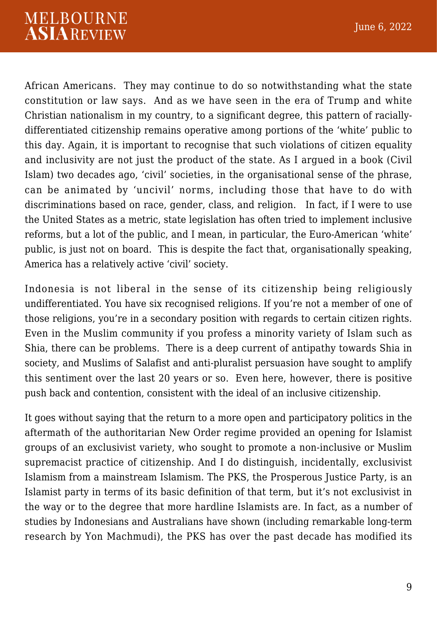African Americans. They may continue to do so notwithstanding what the state constitution or law says. And as we have seen in the era of Trump and white Christian nationalism in my country, to a significant degree, this pattern of raciallydifferentiated citizenship remains operative among portions of the 'white' public to this day. Again, it is important to recognise that such violations of citizen equality and inclusivity are not just the product of the state. As I argued in a book (Civil Islam) two decades ago, 'civil' societies, in the organisational sense of the phrase, can be animated by 'uncivil' norms, including those that have to do with discriminations based on race, gender, class, and religion. In fact, if I were to use the United States as a metric, state legislation has often tried to implement inclusive reforms, but a lot of the public, and I mean, in particular, the Euro-American 'white' public, is just not on board. This is despite the fact that, organisationally speaking, America has a relatively active 'civil' society.

Indonesia is not liberal in the sense of its citizenship being religiously undifferentiated. You have six recognised religions. If you're not a member of one of those religions, you're in a secondary position with regards to certain citizen rights. Even in the Muslim community if you profess a minority variety of Islam such as Shia, there can be problems. There is a deep current of antipathy towards Shia in society, and Muslims of Salafist and anti-pluralist persuasion have sought to amplify this sentiment over the last 20 years or so. Even here, however, there is positive push back and contention, consistent with the ideal of an inclusive citizenship.

It goes without saying that the return to a more open and participatory politics in the aftermath of the authoritarian New Order regime provided an opening for Islamist groups of an exclusivist variety, who sought to promote a non-inclusive or Muslim supremacist practice of citizenship. And I do distinguish, incidentally, exclusivist Islamism from a mainstream Islamism. The PKS, the Prosperous Justice Party, is an Islamist party in terms of its basic definition of that term, but it's not exclusivist in the way or to the degree that more hardline Islamists are. In fact, as a number of studies by Indonesians and Australians have shown (including remarkable long-term research by Yon Machmudi), the PKS has over the past decade has modified its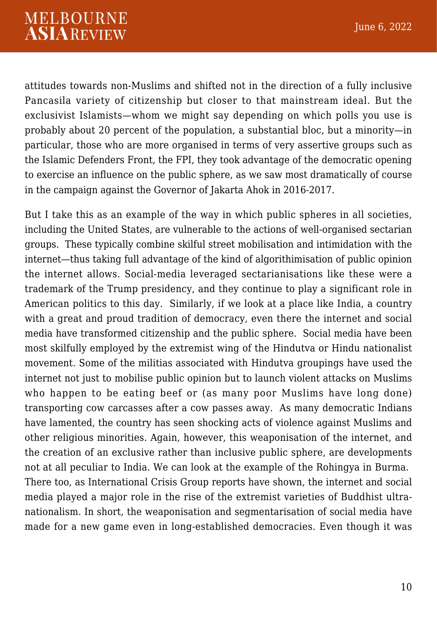attitudes towards non-Muslims and shifted not in the direction of a fully inclusive Pancasila variety of citizenship but closer to that mainstream ideal. But the exclusivist Islamists—whom we might say depending on which polls you use is probably about 20 percent of the population, a substantial bloc, but a minority—in particular, those who are more organised in terms of very assertive groups such as the Islamic Defenders Front, the FPI, they took advantage of the democratic opening to exercise an influence on the public sphere, as we saw most dramatically of course in the campaign against the Governor of Jakarta Ahok in 2016-2017.

But I take this as an example of the way in which public spheres in all societies, including the United States, are vulnerable to the actions of well-organised sectarian groups. These typically combine skilful street mobilisation and intimidation with the internet—thus taking full advantage of the kind of algorithimisation of public opinion the internet allows. Social-media leveraged sectarianisations like these were a trademark of the Trump presidency, and they continue to play a significant role in American politics to this day. Similarly, if we look at a place like India, a country with a great and proud tradition of democracy, even there the internet and social media have transformed citizenship and the public sphere. Social media have been most skilfully employed by the extremist wing of the Hindutva or Hindu nationalist movement. Some of the militias associated with Hindutva groupings have used the internet not just to mobilise public opinion but to launch violent attacks on Muslims who happen to be eating beef or (as many poor Muslims have long done) transporting cow carcasses after a cow passes away. As many democratic Indians have lamented, the country has seen shocking acts of violence against Muslims and other religious minorities. Again, however, this weaponisation of the internet, and the creation of an exclusive rather than inclusive public sphere, are developments not at all peculiar to India. We can look at the example of the Rohingya in Burma. There too, as International Crisis Group reports have shown, the internet and social media played a major role in the rise of the extremist varieties of Buddhist ultranationalism. In short, the weaponisation and segmentarisation of social media have made for a new game even in long-established democracies. Even though it was